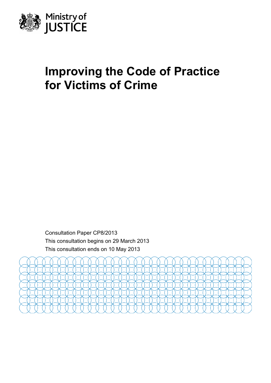

# **Improving the Code of Practice for Victims of Crime**

Consultation Paper CP8/2013 This consultation begins on 29 March 2013 This consultation ends on 10 May 2013

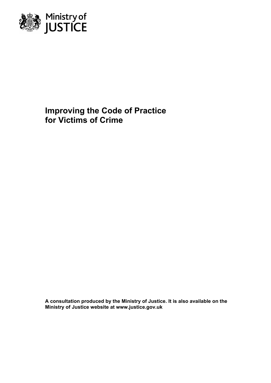

## **Improving the Code of Practice for Victims of Crime**

**A consultation produced by the Ministry of Justice. It is also available on the Ministry of Justice website at [www.justice.gov.uk](http://www.justice.gov.uk/)**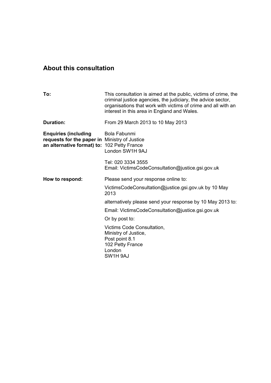## **About this consultation**

| To:                                                                                                                         | This consultation is aimed at the public, victims of crime, the<br>criminal justice agencies, the judiciary, the advice sector,<br>organisations that work with victims of crime and all with an<br>interest in this area in England and Wales. |  |
|-----------------------------------------------------------------------------------------------------------------------------|-------------------------------------------------------------------------------------------------------------------------------------------------------------------------------------------------------------------------------------------------|--|
| <b>Duration:</b>                                                                                                            | From 29 March 2013 to 10 May 2013                                                                                                                                                                                                               |  |
| <b>Enquiries (including</b><br>requests for the paper in Ministry of Justice<br>an alternative format) to: 102 Petty France | <b>Bola Fabunmi</b><br>London SW1H 9AJ                                                                                                                                                                                                          |  |
|                                                                                                                             | Tel: 020 3334 3555<br>Email: VictimsCodeConsultation@justice.gsi.gov.uk                                                                                                                                                                         |  |
| How to respond:                                                                                                             | Please send your response online to:                                                                                                                                                                                                            |  |
|                                                                                                                             | VictimsCodeConsultation@justice.gsi.gov.uk by 10 May<br>2013                                                                                                                                                                                    |  |
|                                                                                                                             | alternatively please send your response by 10 May 2013 to:                                                                                                                                                                                      |  |
|                                                                                                                             | Email: VictimsCodeConsultation@justice.gsi.gov.uk                                                                                                                                                                                               |  |
|                                                                                                                             | Or by post to:                                                                                                                                                                                                                                  |  |
|                                                                                                                             | Victims Code Consultation,<br>Ministry of Justice,<br>Post point 8.1<br>102 Petty France<br>London<br>SW1H 9AJ                                                                                                                                  |  |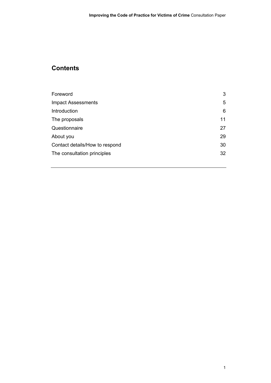## **Contents**

| 3  |
|----|
| 5  |
| 6  |
| 11 |
| 27 |
| 29 |
| 30 |
| 32 |
|    |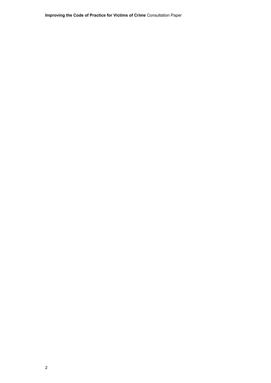**Improving the Code of Practice for Victims of Crime** Consultation Paper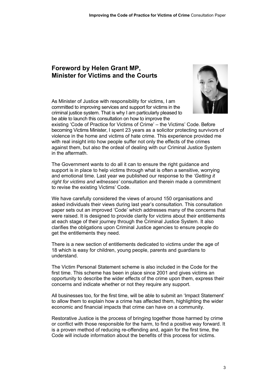## **Foreword by Helen Grant MP, Minister for Victims and the Courts**

As Minister of Justice with responsibility for victims, I am committed to improving services and support for victims in the criminal justice system. That is why I am particularly pleased to be able to launch this consultation on how to improve the



existing 'Code of Practice for Victims of Crime' – the Victims' Code. Before becoming Victims Minister, I spent 23 years as a solicitor protecting survivors of violence in the home and victims of hate crime. This experience provided me with real insight into how people suffer not only the effects of the crimes against them, but also the ordeal of dealing with our Criminal Justice System in the aftermath.

The Government wants to do all it can to ensure the right guidance and support is in place to help victims through what is often a sensitive, worrying and emotional time. Last year we published our response to the *'Getting it right for victims and witnesses'* consultation and therein made a commitment to revise the existing Victims' Code.

We have carefully considered the views of around 150 organisations and asked individuals their views during last year's consultation. This consultation paper sets out an improved 'Code' which addresses many of the concerns that were raised. It is designed to provide clarity for victims about their entitlements at each stage of their journey through the Criminal Justice System. It also clarifies the obligations upon Criminal Justice agencies to ensure people do get the entitlements they need.

There is a new section of entitlements dedicated to victims under the age of 18 which is easy for children, young people, parents and guardians to understand.

The Victim Personal Statement scheme is also included in the Code for the first time. This scheme has been in place since 2001 and gives victims an opportunity to describe the wider effects of the crime upon them, express their concerns and indicate whether or not they require any support.

All businesses too, for the first time, will be able to submit an 'Impact Statement' to allow them to explain how a crime has affected them, highlighting the wider economic and financial impacts that crime can have on a community.

Restorative Justice is the process of bringing together those harmed by crime or conflict with those responsible for the harm, to find a positive way forward. It is a proven method of reducing re-offending and, again for the first time, the Code will include information about the benefits of this process for victims.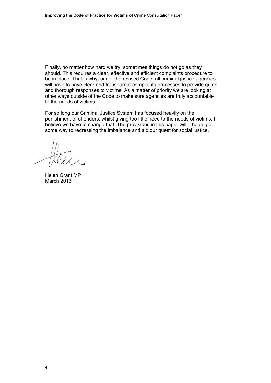Finally, no matter how hard we try, sometimes things do not go as they should. This requires a clear, effective and efficient complaints procedure to be in place. That is why, under the revised Code, all criminal justice agencies will have to have clear and transparent complaints processes to provide quick and thorough responses to victims. As a matter of priority we are looking at other ways outside of the Code to make sure agencies are truly accountable to the needs of victims.

For so long our Criminal Justice System has focused heavily on the punishment of offenders, whilst giving too little heed to the needs of victims. I believe we have to change that. The provisions in this paper will, I hope, go some way to redressing the imbalance and aid our quest for social justice.

Helen Grant MP March 2013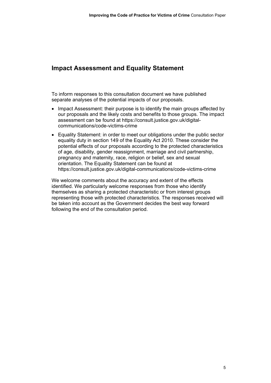## **Impact Assessment and Equality Statement**

To inform responses to this consultation document we have published separate analyses of the potential impacts of our proposals.

- Impact Assessment: their purpose is to identify the main groups affected by our proposals and the likely costs and benefits to those groups. The impact assessment can be found at [https://consult.justice.gov.uk/digital](https://consult.justice.gov.uk/digital-communications/code-victims-crime)[communications/code-victims-crime](https://consult.justice.gov.uk/digital-communications/code-victims-crime)
- Equality Statement: in order to meet our obligations under the public sector equality duty in section 149 of the Equality Act 2010. These consider the potential effects of our proposals according to the protected characteristics of age, disability, gender reassignment, marriage and civil partnership, pregnancy and maternity, race, religion or belief, sex and sexual orientation. The Equality Statement can be found at <https://consult.justice.gov.uk/digital-communications/code-victims-crime>

We welcome comments about the accuracy and extent of the effects identified. We particularly welcome responses from those who identify themselves as sharing a protected characteristic or from interest groups representing those with protected characteristics. The responses received will be taken into account as the Government decides the best way forward following the end of the consultation period.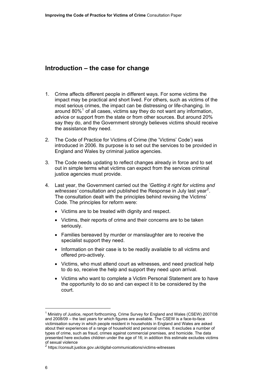## <span id="page-9-0"></span>**Introduction – the case for change**

- 1. Crime affects different people in different ways. For some victims the impact may be practical and short lived. For others, such as victims of the most serious crimes, the impact can be distressing or life-changing. In around  $80\%$ <sup>[1](#page-9-1)</sup> of all cases, victims say they do not want any information, advice or support from the state or from other sources. But around 20% say they do, and the Government strongly believes victims should receive the assistance they need.
- 2. The Code of Practice for Victims of Crime (the 'Victims' Code') was introduced in 2006. Its purpose is to set out the services to be provided in England and Wales by criminal justice agencies.
- 3. The Code needs updating to reflect changes already in force and to set out in simple terms what victims can expect from the services criminal justice agencies must provide.
- 4. Last year, the Government carried out the *'Getting it right for victims and*  witnesses' consultation and published the Response in July last year<sup>[2](#page-9-2)</sup>. The consultation dealt with the principles behind revising the Victims' Code. The principles for reform were:
	- Victims are to be treated with dignity and respect.
	- Victims, their reports of crime and their concerns are to be taken seriously.
	- Families bereaved by murder or manslaughter are to receive the specialist support they need.
	- Information on their case is to be readily available to all victims and offered pro-actively.
	- Victims, who must attend court as witnesses, and need practical help to do so, receive the help and support they need upon arrival.
	- Victims who want to complete a Victim Personal Statement are to have the opportunity to do so and can expect it to be considered by the court.

<span id="page-9-1"></span><sup>&</sup>lt;sup>1</sup> Ministry of Justice, report forthcoming. Crime Survey for England and Wales (CSEW) 2007/08 and 2008/09 – the last years for which figures are available. The CSEW is a face-to-face victimisation survey in which people resident in households in England and Wales are asked about their experiences of a range of household and personal crimes. It excludes a number of types of crime, such as fraud, crimes against commercial premises, and homicide. The data presented here excludes children under the age of 16; in addition this estimate excludes victims of sexual violence

<span id="page-9-2"></span><sup>2</sup> https://consult.justice.gov.uk/digital-communications/victims-witnesses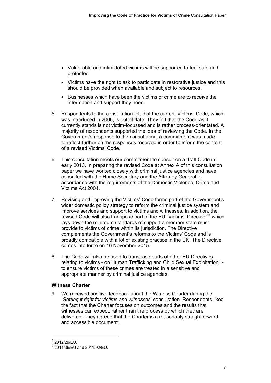- Vulnerable and intimidated victims will be supported to feel safe and protected.
- Victims have the right to ask to participate in restorative justice and this should be provided when available and subject to resources.
- Businesses which have been the victims of crime are to receive the information and support they need.
- 5. Respondents to the consultation felt that the current Victims' Code, which was introduced in 2006, is out of date. They felt that the Code as it currently stands is not victim-focussed and is rather process-orientated. A majority of respondents supported the idea of reviewing the Code. In the Government's response to the consultation, a commitment was made to reflect further on the responses received in order to inform the content of a revised Victims' Code.
- 6. This consultation meets our commitment to consult on a draft Code in early 2013. In preparing the revised Code at Annex A of this consultation paper we have worked closely with criminal justice agencies and have consulted with the Home Secretary and the Attorney General in accordance with the requirements of the Domestic Violence, Crime and Victims Act 2004.
- 7. Revising and improving the Victims' Code forms part of the Government's wider domestic policy strategy to reform the criminal justice system and improve services and support to victims and witnesses. In addition, the revised Code will also transpose part of the EU "Victims' Directive"<sup>[3](#page-10-0)</sup> which lays down the minimum standards of support a member state must provide to victims of crime within its jurisdiction. The Directive complements the Government's reforms to the Victims' Code and is broadly compatible with a lot of existing practice in the UK. The Directive comes into force on 16 November 2015.
- 8. The Code will also be used to transpose parts of other EU Directives relating to victims - on Human Trafficking and Child Sexual Exploitation<sup>[4](#page-10-1)</sup> to ensure victims of these crimes are treated in a sensitive and appropriate manner by criminal justice agencies.

#### **Witness Charter**

9. We received positive feedback about the Witness Charter during the '*Getting it right for victims and witnesses*' consultation. Respondents liked the fact that the Charter focuses on outcomes and the results that witnesses can expect, rather than the process by which they are delivered. They agreed that the Charter is a reasonably straightforward and accessible document.

<span id="page-10-0"></span><sup>3</sup> 2012/29/EU.

<span id="page-10-1"></span><sup>4</sup> 2011/36/EU and 2011/92/EU.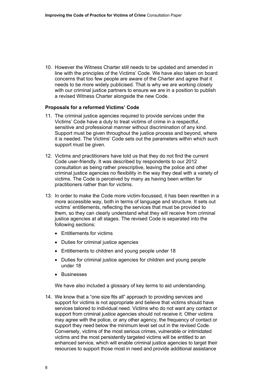10. However the Witness Charter still needs to be updated and amended in line with the principles of the Victims' Code. We have also taken on board concerns that too few people are aware of the Charter and agree that it needs to be more widely publicised. That is why we are working closely with our criminal justice partners to ensure we are in a position to publish a revised Witness Charter alongside the new Code.

#### **Proposals for a reformed Victims' Code**

- 11. The criminal justice agencies required to provide services under the Victims' Code have a duty to treat victims of crime in a respectful, sensitive and professional manner without discrimination of any kind. Support must be given throughout the justice process and beyond, where it is needed. The Victims' Code sets out the parameters within which such support must be given.
- 12. Victims and practitioners have told us that they do not find the current Code user-friendly. It was described by respondents to our 2012 consultation as being rather prescriptive, leaving the police and other criminal justice agencies no flexibility in the way they deal with a variety of victims. The Code is perceived by many as having been written for practitioners rather than for victims.
- 13. In order to make the Code more victim-focussed, it has been rewritten in a more accessible way, both in terms of language and structure. It sets out victims' entitlements, reflecting the services that must be provided to them, so they can clearly understand what they will receive from criminal justice agencies at all stages. The revised Code is separated into the following sections:
	- Entitlements for victims
	- Duties for criminal justice agencies
	- Entitlements to children and young people under 18
	- Duties for criminal justice agencies for children and young people under 18
	- Businesses

We have also included a glossary of key terms to aid understanding.

14. We know that a "one size fits all" approach to providing services and support for victims is not appropriate and believe that victims should have services tailored to individual need. Victims who do not want any contact or support from criminal justice agencies should not receive it. Other victims may agree with the police, or any other agency, the frequency of contact or support they need below the minimum level set out in the revised Code. Conversely, victims of the most serious crimes, vulnerable or intimidated victims and the most persistently targeted victims will be entitled to an enhanced service, which will enable criminal justice agencies to target their resources to support those most in need and provide additional assistance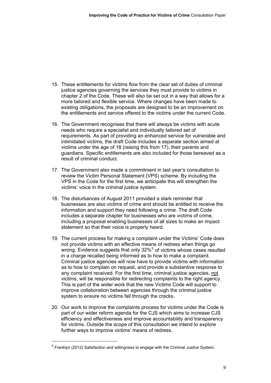- 15. These entitlements for victims flow from the clear set of duties of criminal justice agencies governing the services they must provide to victims in chapter 2 of the Code. These will also be set out in a way that allows for a more tailored and flexible service. Where changes have been made to existing obligations, the proposals are designed to be an improvement on the entitlements and service offered to the victims under the current Code.
- 16. The Government recognises that there will always be victims with acute needs who require a specialist and individually tailored set of requirements. As part of providing an enhanced service for vulnerable and intimidated victims, the draft Code includes a separate section aimed at victims under the age of 18 (raising this from 17), their parents and guardians. Specific entitlements are also included for those bereaved as a result of criminal conduct.
- 17. The Government also made a commitment in last year's consultation to review the Victim Personal Statement (VPS) scheme. By including the VPS in the Code for the first time, we anticipate this will strengthen the victims' voice in the criminal justice system.
- 18. The disturbances of August 2011 provided a stark reminder that businesses are also victims of crime and should be entitled to receive the information and support they need following a crime. The draft Code includes a separate chapter for businesses who are victims of crime, including a proposal enabling businesses of all sizes to make an impact statement so that their voice is properly heard.
- 19. The current process for making a complaint under the Victims' Code does not provide victims with an effective means of redress when things go wrong. Evidence suggests that only 32%<sup>[5](#page-12-0)</sup> of victims whose cases resulted in a charge recalled being informed as to how to make a complaint. Criminal justice agencies will now have to provide victims with information as to how to complain on request, and provide a substantive response to any complaint received. For the first time, criminal justice agencies, not victims, will be responsible for redirecting complaints to the right agency. This is part of the wider work that the new Victims Code will support to improve collaboration between agencies through the criminal justice system to ensure no victims fall through the cracks.
- 20. Our work to improve the complaints process for victims under the Code is part of our wider reform agenda for the CJS which aims to increase CJS efficiency and effectiveness and improve accountability and transparency for victims. Outside the scope of this consultation we intend to explore further ways to improve victims' means of redress.

<span id="page-12-0"></span><sup>5</sup> Franklyn (2012) Satisfaction and willingness to engage with the Criminal Justice System.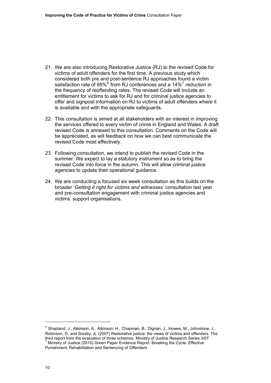- 21. We are also introducing Restorative Justice (RJ) to the revised Code for victims of adult offenders for the first time. A previous study which considered both pre and post-sentence RJ approaches found a victim satisfaction rate of 85% $<sup>6</sup>$  $<sup>6</sup>$  $<sup>6</sup>$  from RJ conferences and a 14%<sup>[7](#page-13-1)</sup> reduction in</sup> the frequency of reoffending rates. The revised Code will include an entitlement for victims to ask for RJ and for criminal justice agencies to offer and signpost information on RJ to victims of adult offenders where it is available and with the appropriate safeguards.
- 22. This consultation is aimed at all stakeholders with an interest in improving the services offered to every victim of crime in England and Wales. A draft revised Code is annexed to this consultation. Comments on the Code will be appreciated, as will feedback on how we can best communicate the revised Code most effectively.
- 23. Following consultation, we intend to publish the revised Code in the summer. We expect to lay a statutory instrument so as to bring the revised Code into force in the autumn. This will allow criminal justice agencies to update their operational guidance.
- 24. We are conducting a focused six week consultation as this builds on the broader '*Getting it right for victims and witnesses*' consultation last year and pre-consultation engagement with criminal justice agencies and victims' support organisations.

<span id="page-13-1"></span><span id="page-13-0"></span> $^6$  Shapland, J., Atkinson, A., Atkinson, H., Chapman, B., Dignan, J., Howes, M., Johnstone, J., Robinson, G. and Sorsby, A. (2007) Restorative justice: the views of victims and offenders. The third report from the evaluation of three schemes. Ministry of Justice Research Series 3/07 <sup>7</sup>  $^7$  Ministry of Justice (2010) Green Paper Evidence Report. Breaking the Cycle: Effective Punishment, Rehabilitation and Sentencing of Offenders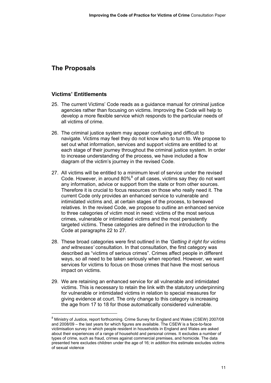## **The Proposals**

#### **Victims' Entitlements**

- 25. The current Victims' Code reads as a guidance manual for criminal justice agencies rather than focusing on victims. Improving the Code will help to develop a more flexible service which responds to the particular needs of all victims of crime.
- 26. The criminal justice system may appear confusing and difficult to navigate. Victims may feel they do not know who to turn to. We propose to set out what information, services and support victims are entitled to at each stage of their journey throughout the criminal justice system. In order to increase understanding of the process, we have included a flow diagram of the victim's journey in the revised Code.
- 27. All victims will be entitled to a minimum level of service under the revised Code. However, in around  $80\%$  $80\%$ <sup>8</sup> of all cases, victims say they do not want any information, advice or support from the state or from other sources. Therefore it is crucial to focus resources on those who really need it. The current Code only provides an enhanced service to vulnerable and intimidated victims and, at certain stages of the process, to bereaved relatives. In the revised Code, we propose to outline an enhanced service to three categories of victim most in need: victims of the most serious crimes, vulnerable or intimidated victims and the most persistently targeted victims. These categories are defined in the introduction to the Code at paragraphs 22 to 27.
- 28. These broad categories were first outlined in the *'Getting it right for victims and witnesses'* consultation. In that consultation, the first category was described as "victims of serious crimes". Crimes affect people in different ways, so all need to be taken seriously when reported. However, we want services for victims to focus on those crimes that have the most serious impact on victims.
- 29. We are retaining an enhanced service for all vulnerable and intimidated victims. This is necessary to retain the link with the statutory underpinning for vulnerable or intimidated victims in relation to special measures for giving evidence at court. The only change to this category is increasing the age from 17 to 18 for those automatically considered vulnerable.

<span id="page-14-0"></span><sup>&</sup>lt;sup>8</sup> Ministry of Justice, report forthcoming. Crime Survey for England and Wales (CSEW) 2007/08 and 2008/09 – the last years for which figures are available. The CSEW is a face-to-face victimisation survey in which people resident in households in England and Wales are asked about their experiences of a range of household and personal crimes. It excludes a number of types of crime, such as fraud, crimes against commercial premises, and homicide. The data presented here excludes children under the age of 16; in addition this estimate excludes victims of sexual violence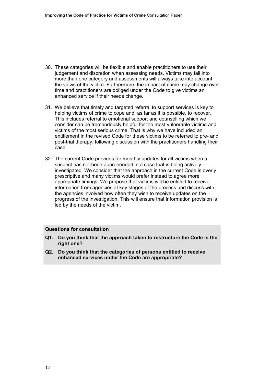- 30. These categories will be flexible and enable practitioners to use their judgement and discretion when assessing needs. Victims may fall into more than one category and assessments will always take into account the views of the victim. Furthermore, the impact of crime may change over time and practitioners are obliged under the Code to give victims an enhanced service if their needs change.
- 31. We believe that timely and targeted referral to support services is key to helping victims of crime to cope and, as far as it is possible, to recover. This includes referral to emotional support and counselling which we consider can be tremendously helpful for the most vulnerable victims and victims of the most serious crime. That is why we have included an entitlement in the revised Code for these victims to be referred to pre- and post-trial therapy, following discussion with the practitioners handling their case.
- 32. The current Code provides for monthly updates for all victims when a suspect has not been apprehended in a case that is being actively investigated. We consider that the approach in the current Code is overly prescriptive and many victims would prefer instead to agree more appropriate timings. We propose that victims will be entitled to receive information from agencies at key stages of the process and discuss with the agencies involved how often they wish to receive updates on the progress of the investigation. This will ensure that information provision is led by the needs of the victim.

- **Q1. Do you think that the approach taken to restructure the Code is the right one?**
- **Q2. Do you think that the categories of persons entitled to receive enhanced services under the Code are appropriate?**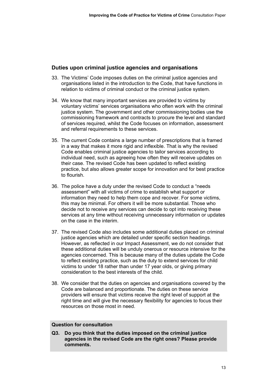#### **Duties upon criminal justice agencies and organisations**

- 33. The Victims' Code imposes duties on the criminal justice agencies and organisations listed in the introduction to the Code, that have functions in relation to victims of criminal conduct or the criminal justice system.
- 34. We know that many important services are provided to victims by voluntary victims' services organisations who often work with the criminal justice system. The government and other commissioning bodies use the commissioning framework and contracts to procure the level and standard of services required, whilst the Code focuses on information, assessment and referral requirements to these services.
- 35. The current Code contains a large number of prescriptions that is framed in a way that makes it more rigid and inflexible. That is why the revised Code enables criminal justice agencies to tailor services according to individual need, such as agreeing how often they will receive updates on their case. The revised Code has been updated to reflect existing practice, but also allows greater scope for innovation and for best practice to flourish.
- 36. The police have a duty under the revised Code to conduct a "needs assessment" with all victims of crime to establish what support or information they need to help them cope and recover. For some victims, this may be minimal. For others it will be more substantial. Those who decide not to receive any services can decide to opt into receiving these services at any time without receiving unnecessary information or updates on the case in the interim.
- 37. The revised Code also includes some additional duties placed on criminal justice agencies which are detailed under specific section headings. However, as reflected in our Impact Assessment, we do not consider that these additional duties will be unduly onerous or resource intensive for the agencies concerned. This is because many of the duties update the Code to reflect existing practice, such as the duty to extend services for child victims to under 18 rather than under 17 year olds, or giving primary consideration to the best interests of the child.
- 38. We consider that the duties on agencies and organisations covered by the Code are balanced and proportionate. The duties on these service providers will ensure that victims receive the right level of support at the right time and will give the necessary flexibility for agencies to focus their resources on those most in need.

#### **Question for consultation**

**Q3. Do you think that the duties imposed on the criminal justice agencies in the revised Code are the right ones? Please provide comments.**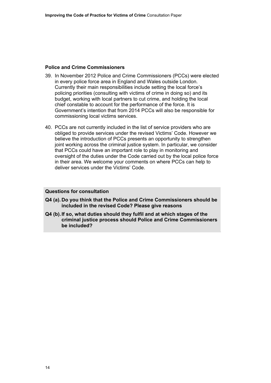#### **Police and Crime Commissioners**

- 39. In November 2012 Police and Crime Commissioners (PCCs) were elected in every police force area in England and Wales outside London. Currently their main responsibilities include setting the local force's policing priorities (consulting with victims of crime in doing so) and its budget, working with local partners to cut crime, and holding the local chief constable to account for the performance of the force. It is Government's intention that from 2014 PCCs will also be responsible for commissioning local victims services.
- 40. PCCs are not currently included in the list of service providers who are obliged to provide services under the revised Victims' Code. However we believe the introduction of PCCs presents an opportunity to strengthen joint working across the criminal justice system. In particular, we consider that PCCs could have an important role to play in monitoring and oversight of the duties under the Code carried out by the local police force in their area. We welcome your comments on where PCCs can help to deliver services under the Victims' Code.

- **Q4 (a). Do you think that the Police and Crime Commissioners should be included in the revised Code? Please give reasons**
- **Q4 (b). If so, what duties should they fulfil and at which stages of the criminal justice process should Police and Crime Commissioners be included?**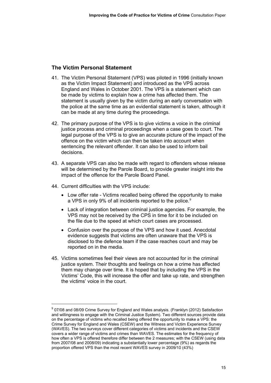#### **The Victim Personal Statement**

- 41. The Victim Personal Statement (VPS) was piloted in 1996 (initially known as the Victim Impact Statement) and introduced as the VPS across England and Wales in October 2001. The VPS is a statement which can be made by victims to explain how a crime has affected them. The statement is usually given by the victim during an early conversation with the police at the same time as an evidential statement is taken, although it can be made at any time during the proceedings.
- 42. The primary purpose of the VPS is to give victims a voice in the criminal justice process and criminal proceedings when a case goes to court. The legal purpose of the VPS is to give an accurate picture of the impact of the offence on the victim which can then be taken into account when sentencing the relevant offender. It can also be used to inform bail decisions.
- 43. A separate VPS can also be made with regard to offenders whose release will be determined by the Parole Board, to provide greater insight into the impact of the offence for the Parole Board Panel.
- 44. Current difficulties with the VPS include:

- Low offer rate Victims recalled being offered the opportunity to make a VPS in only [9](#page-18-0)% of all incidents reported to the police.<sup>9</sup>
- Lack of integration between criminal justice agencies. For example, the VPS may not be received by the CPS in time for it to be included on the file due to the speed at which court cases are processed.
- Confusion over the purpose of the VPS and how it used. Anecdotal evidence suggests that victims are often unaware that the VPS is disclosed to the defence team if the case reaches court and may be reported on in the media.
- 45. Victims sometimes feel their views are not accounted for in the criminal justice system. Their thoughts and feelings on how a crime has affected them may change over time. It is hoped that by including the VPS in the Victims' Code, this will increase the offer and take up rate, and strengthen the victims' voice in the court.

<span id="page-18-0"></span><sup>&</sup>lt;sup>9</sup> 07/08 and 08/09 Crime Survey for England and Wales analysis. (Franklyn (2012) Satisfaction and willingness to engage with the Criminal Justice System). Two different sources provide data on the percentage of victims who recalled being offered the opportunity to make a VPS: the Crime Survey for England and Wales (CSEW) and the Witness and Victim Experience Survey (WAVES). The two surveys cover different categories of victims and incidents and the CSEW covers a wider range of victims and crimes than WAVES. The estimates for the frequency of how often a VPS is offered therefore differ between the 2 measures; with the CSEW (using data from 2007/08 and 2008/09) indicating a substantially lower percentage (9%) as regards the proportion offered VPS than the most recent WAVES survey in 2009/10 (43%)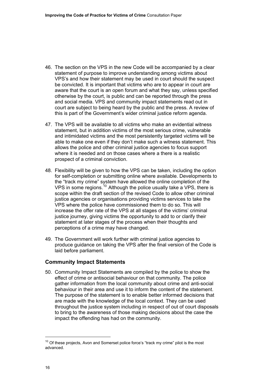- 46. The section on the VPS in the new Code will be accompanied by a clear statement of purpose to improve understanding among victims about VPS's and how their statement may be used in court should the suspect be convicted. It is important that victims who are to appear in court are aware that the court is an open forum and what they say, unless specified otherwise by the court, is public and can be reported through the press and social media. VPS and community impact statements read out in court are subject to being heard by the public and the press. A review of this is part of the Government's wider criminal justice reform agenda.
- 47. The VPS will be available to all victims who make an evidential witness statement, but in addition victims of the most serious crime, vulnerable and intimidated victims and the most persistently targeted victims will be able to make one even if they don't make such a witness statement. This allows the police and other criminal justice agencies to focus support where it is needed and on those cases where a there is a realistic prospect of a criminal conviction.
- 48. Flexibility will be given to how the VPS can be taken, including the option for self-completion or submitting online where available. Developments to the "track my crime" system have allowed the online completion of the VPS in some regions.<sup>[10](#page-19-0)</sup> Although the police usually take a VPS, there is scope within the draft section of the revised Code to allow other criminal justice agencies or organisations providing victims services to take the VPS where the police have commissioned them to do so. This will increase the offer rate of the VPS at all stages of the victims' criminal justice journey, giving victims the opportunity to add to or clarify their statement at later stages of the process when their thoughts and perceptions of a crime may have changed.
- 49. The Government will work further with criminal justice agencies to produce guidance on taking the VPS after the final version of the Code is laid before parliament.

#### **Community Impact Statements**

50. Community Impact Statements are compiled by the police to show the effect of crime or antisocial behaviour on that community. The police gather information from the local community about crime and anti-social behaviour in their area and use it to inform the content of the statement. The purpose of the statement is to enable better informed decisions that are made with the knowledge of the local context. They can be used throughout the justice system including in respect of out of court disposals to bring to the awareness of those making decisions about the case the impact the offending has had on the community.

<span id="page-19-0"></span> $10$  Of these projects, Avon and Somerset police force's "track my crime" pilot is the most advanced.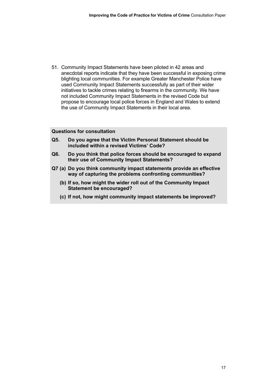51. Community Impact Statements have been piloted in 42 areas and anecdotal reports indicate that they have been successful in exposing crime blighting local communities. For example Greater Manchester Police have used Community Impact Statements successfully as part of their wider initiatives to tackle crimes relating to firearms in the community. We have not included Community Impact Statements in the revised Code but propose to encourage local police forces in England and Wales to extend the use of Community Impact Statements in their local area.

- **Q5. Do you agree that the Victim Personal Statement should be included within a revised Victims' Code?**
- **Q6. Do you think that police forces should be encouraged to expand their use of Community Impact Statements?**
- **Q7 (a) Do you think community impact statements provide an effective way of capturing the problems confronting communities?** 
	- **(b) If so, how might the wider roll out of the Community Impact Statement be encouraged?**
	- **(c) If not, how might community impact statements be improved?**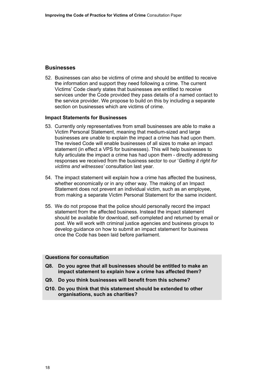#### **Businesses**

52. Businesses can also be victims of crime and should be entitled to receive the information and support they need following a crime. The current Victims' Code clearly states that businesses are entitled to receive services under the Code provided they pass details of a named contact to the service provider. We propose to build on this by including a separate section on businesses which are victims of crime.

#### **Impact Statements for Businesses**

- 53. Currently only representatives from small businesses are able to make a Victim Personal Statement, meaning that medium-sized and large businesses are unable to explain the impact a crime has had upon them. The revised Code will enable businesses of all sizes to make an impact statement (in effect a VPS for businesses). This will help businesses to fully articulate the impact a crime has had upon them - directly addressing responses we received from the business sector to our '*Getting it right for victims and witnesses'* consultation last year.
- 54. The impact statement will explain how a crime has affected the business, whether economically or in any other way. The making of an Impact Statement does not prevent an individual victim, such as an employee, from making a separate Victim Personal Statement for the same incident.
- 55. We do not propose that the police should personally record the impact statement from the affected business. Instead the impact statement should be available for download, self-completed and returned by email or post. We will work with criminal justice agencies and business groups to develop guidance on how to submit an impact statement for business once the Code has been laid before parliament.

- **Q8. Do you agree that all businesses should be entitled to make an impact statement to explain how a crime has affected them?**
- **Q9. Do you think businesses will benefit from this scheme?**
- **Q10. Do you think that this statement should be extended to other organisations, such as charities?**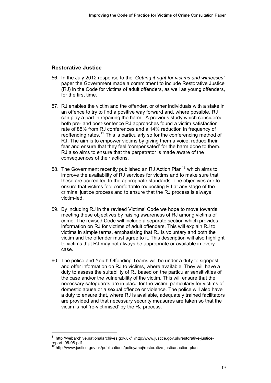#### **Restorative Justice**

- 56. In the July 2012 response to the *'Getting it right for victims and witnesses'* paper the Government made a commitment to include Restorative Justice (RJ) in the Code for victims of adult offenders, as well as young offenders, for the first time.
- 57. RJ enables the victim and the offender, or other individuals with a stake in an offence to try to find a positive way forward and, where possible, RJ can play a part in repairing the harm. A previous study which considered both pre- and post-sentence RJ approaches found a victim satisfaction rate of 85% from RJ conferences and a 14% reduction in frequency of reoffending rates.<sup>[11](#page-22-0)</sup> This is particularly so for the conferencing method of RJ. The aim is to empower victims by giving them a voice, reduce their fear and ensure that they feel 'compensated' for the harm done to them. RJ also aims to ensure that the perpetrator is made aware of the consequences of their actions.
- 58. The Government recently published an RJ Action Plan<sup>[12](#page-22-1)</sup> which aims to improve the availability of RJ services for victims and to make sure that these are accredited to the appropriate standards. The objectives are to ensure that victims feel comfortable requesting RJ at any stage of the criminal justice process and to ensure that the RJ process is always victim-led.
- 59. By including RJ in the revised Victims' Code we hope to move towards meeting these objectives by raising awareness of RJ among victims of crime. The revised Code will include a separate section which provides information on RJ for victims of adult offenders. This will explain RJ to victims in simple terms, emphasising that RJ is voluntary and both the victim and the offender must agree to it. This description will also highlight to victims that RJ may not always be appropriate or available in every case.
- 60. The police and Youth Offending Teams will be under a duty to signpost and offer information on RJ to victims, where available. They will have a duty to assess the suitability of RJ based on the particular sensitivities of the case and/or the vulnerability of the victim. This will ensure that the necessary safeguards are in place for the victim, particularly for victims of domestic abuse or a sexual offence or violence. The police will also have a duty to ensure that, where RJ is available, adequately trained facilitators are provided and that necessary security measures are taken so that the victim is not 're-victimised' by the RJ process.

<span id="page-22-1"></span><span id="page-22-0"></span><sup>&</sup>lt;sup>11</sup> [http://webarchive.nationalarchives.gov.uk/+/http:/www.justice.gov.uk/restorative-justice](http://webarchive.nationalarchives.gov.uk/+/http:/www.justice.gov.uk/restorative-justice-report_06-08.pdf)[report\\_06-08.pdf](http://webarchive.nationalarchives.gov.uk/+/http:/www.justice.gov.uk/restorative-justice-report_06-08.pdf) 

http://www.justice.gov.uk/publications/policy/moj/restorative-justice-action-plan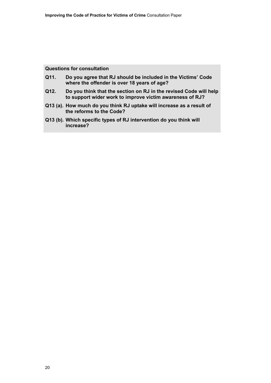- **Q11. Do you agree that RJ should be included in the Victims' Code where the offender is over 18 years of age?**
- **Q12. Do you think that the section on RJ in the revised Code will help to support wider work to improve victim awareness of RJ?**
- **Q13 (a). How much do you think RJ uptake will increase as a result of the reforms to the Code?**
- **Q13 (b). Which specific types of RJ intervention do you think will increase?**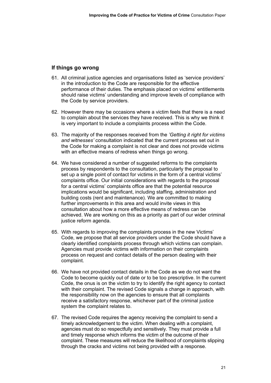#### **If things go wrong**

- 61. All criminal justice agencies and organisations listed as 'service providers' in the introduction to the Code are responsible for the effective performance of their duties. The emphasis placed on victims' entitlements should raise victims' understanding and improve levels of compliance with the Code by service providers.
- 62. However there may be occasions where a victim feels that there is a need to complain about the services they have received. This is why we think it is very important to include a complaints process within the Code.
- 63. The majority of the responses received from the *'Getting it right for victims and witnesses'* consultation indicated that the current process set out in the Code for making a complaint is not clear and does not provide victims with an effective means of redress when things go wrong.
- 64. We have considered a number of suggested reforms to the complaints process by respondents to the consultation, particularly the proposal to set up a single point of contact for victims in the form of a central victims' complaints office. Our initial considerations with regards to the proposal for a central victims' complaints office are that the potential resource implications would be significant, including staffing, administration and building costs (rent and maintenance). We are committed to making further improvements in this area and would invite views in this consultation about how a more effective means of redress can be achieved. We are working on this as a priority as part of our wider criminal justice reform agenda.
- 65. With regards to improving the complaints process in the new Victims' Code, we propose that all service providers under the Code should have a clearly identified complaints process through which victims can complain. Agencies must provide victims with information on their complaints process on request and contact details of the person dealing with their complaint.
- 66. We have not provided contact details in the Code as we do not want the Code to become quickly out of date or to be too prescriptive. In the current Code, the onus is on the victim to try to identify the right agency to contact with their complaint. The revised Code signals a change in approach, with the responsibility now on the agencies to ensure that all complaints receive a satisfactory response, whichever part of the criminal justice system the complaint relates to.
- 67. The revised Code requires the agency receiving the complaint to send a timely acknowledgement to the victim. When dealing with a complaint, agencies must do so respectfully and sensitively. They must provide a full and timely response which informs the victim of the outcome of their complaint. These measures will reduce the likelihood of complaints slipping through the cracks and victims not being provided with a response.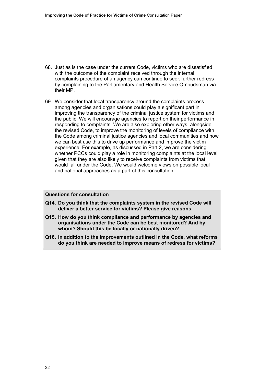- 68. Just as is the case under the current Code, victims who are dissatisfied with the outcome of the complaint received through the internal complaints procedure of an agency can continue to seek further redress by complaining to the Parliamentary and Health Service Ombudsman via their MP.
- 69. We consider that local transparency around the complaints process among agencies and organisations could play a significant part in improving the transparency of the criminal justice system for victims and the public. We will encourage agencies to report on their performance in responding to complaints. We are also exploring other ways, alongside the revised Code, to improve the monitoring of levels of compliance with the Code among criminal justice agencies and local communities and how we can best use this to drive up performance and improve the victim experience. For example, as discussed in Part 2, we are considering whether PCCs could play a role in monitoring complaints at the local level given that they are also likely to receive complaints from victims that would fall under the Code. We would welcome views on possible local and national approaches as a part of this consultation.

- **Q14. Do you think that the complaints system in the revised Code will deliver a better service for victims? Please give reasons.**
- **Q15. How do you think compliance and performance by agencies and organisations under the Code can be best monitored? And by whom? Should this be locally or nationally driven?**
- **Q16. In addition to the improvements outlined in the Code, what reforms do you think are needed to improve means of redress for victims?**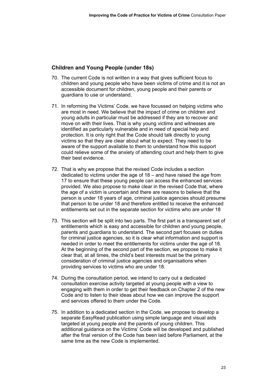#### **Children and Young People (under 18s)**

- 70. The current Code is not written in a way that gives sufficient focus to children and young people who have been victims of crime and it is not an accessible document for children, young people and their parents or guardians to use or understand.
- 71. In reforming the Victims' Code, we have focussed on helping victims who are most in need. We believe that the impact of crime on children and young adults in particular must be addressed if they are to recover and move on with their lives. That is why young victims and witnesses are identified as particularly vulnerable and in need of special help and protection. It is only right that the Code should talk directly to young victims so that they are clear about what to expect. They need to be aware of the support available to them to understand how this support could relieve some of the anxiety of attending court and help them to give their best evidence.
- 72. That is why we propose that the revised Code includes a section dedicated to victims under the age of 18 – and have raised the age from 17 to ensure that these young people can access the enhanced services provided. We also propose to make clear in the revised Code that, where the age of a victim is uncertain and there are reasons to believe that the person is under 18 years of age, criminal justice agencies should presume that person to be under 18 and therefore entitled to receive the enhanced entitlements set out in the separate section for victims who are under 18
- 73. This section will be split into two parts. The first part is a transparent set of entitlements which is easy and accessible for children and young people, parents and guardians to understand. The second part focuses on duties for criminal justice agencies, so it is clear what information and support is needed in order to meet the entitlements for victims under the age of 18. At the beginning of the second part of the section, we propose to make it clear that, at all times, the child's best interests must be the primary consideration of criminal justice agencies and organisations when providing services to victims who are under 18.
- 74. During the consultation period, we intend to carry out a dedicated consultation exercise activity targeted at young people with a view to engaging with them in order to get their feedback on Chapter 2 of the new Code and to listen to their ideas about how we can improve the support and services offered to them under the Code.
- 75. In addition to a dedicated section in the Code, we propose to develop a separate EasyRead publication using simple language and visual aids targeted at young people and the parents of young children. This additional guidance on the Victims' Code will be developed and published after the final version of the Code has been laid before Parliament, at the same time as the new Code is implemented.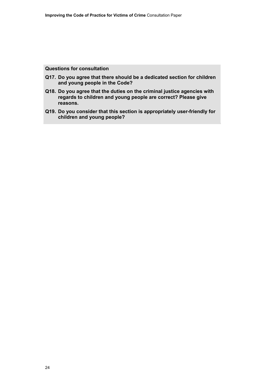- **Q17. Do you agree that there should be a dedicated section for children and young people in the Code?**
- **Q18. Do you agree that the duties on the criminal justice agencies with regards to children and young people are correct? Please give reasons.**
- **Q19. Do you consider that this section is appropriately user-friendly for children and young people?**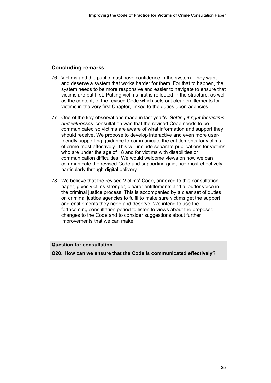#### **Concluding remarks**

- 76. Victims and the public must have confidence in the system. They want and deserve a system that works harder for them. For that to happen, the system needs to be more responsive and easier to navigate to ensure that victims are put first. Putting victims first is reflected in the structure, as well as the content, of the revised Code which sets out clear entitlements for victims in the very first Chapter, linked to the duties upon agencies.
- 77. One of the key observations made in last year's *'Getting it right for victims and witnesses'* consultation was that the revised Code needs to be communicated so victims are aware of what information and support they should receive. We propose to develop interactive and even more userfriendly supporting guidance to communicate the entitlements for victims of crime most effectively. This will include separate publications for victims who are under the age of 18 and for victims with disabilities or communication difficulties. We would welcome views on how we can communicate the revised Code and supporting guidance most effectively, particularly through digital delivery.
- 78. We believe that the revised Victims' Code, annexed to this consultation paper, gives victims stronger, clearer entitlements and a louder voice in the criminal justice process. This is accompanied by a clear set of duties on criminal justice agencies to fulfil to make sure victims get the support and entitlements they need and deserve. We intend to use the forthcoming consultation period to listen to views about the proposed changes to the Code and to consider suggestions about further improvements that we can make.

#### **Question for consultation**

**Q20. How can we ensure that the Code is communicated effectively?**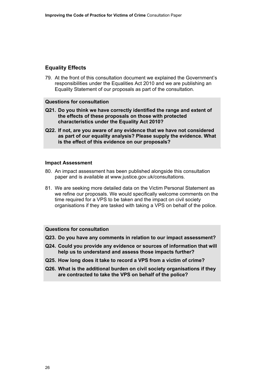#### **Equality Effects**

79. At the front of this consultation document we explained the Government's responsibilities under the Equalities Act 2010 and we are publishing an Equality Statement of our proposals as part of the consultation.

#### **Questions for consultation**

- **Q21. Do you think we have correctly identified the range and extent of the effects of these proposals on those with protected characteristics under the Equality Act 2010?**
- **Q22. If not, are you aware of any evidence that we have not considered as part of our equality analysis? Please supply the evidence. What is the effect of this evidence on our proposals?**

#### **Impact Assessment**

- 80. An impact assessment has been published alongside this consultation paper and is available at [www.justice.gov.uk/consultations.](http://www.justice.gov.uk/consultations)
- 81. We are seeking more detailed data on the Victim Personal Statement as we refine our proposals. We would specifically welcome comments on the time required for a VPS to be taken and the impact on civil society organisations if they are tasked with taking a VPS on behalf of the police.

- **Q23. Do you have any comments in relation to our impact assessment?**
- **Q24. Could you provide any evidence or sources of information that will help us to understand and assess those impacts further?**
- **Q25. How long does it take to record a VPS from a victim of crime?**
- **Q26. What is the additional burden on civil society organisations if they are contracted to take the VPS on behalf of the police?**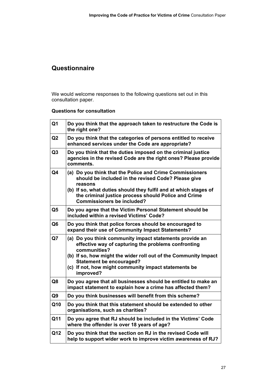## **Questionnaire**

We would welcome responses to the following questions set out in this consultation paper.

| Q <sub>1</sub> | Do you think that the approach taken to restructure the Code is<br>the right one?                                                                                                                                                                                                                         |  |
|----------------|-----------------------------------------------------------------------------------------------------------------------------------------------------------------------------------------------------------------------------------------------------------------------------------------------------------|--|
| Q2             | Do you think that the categories of persons entitled to receive<br>enhanced services under the Code are appropriate?                                                                                                                                                                                      |  |
| Q3             | Do you think that the duties imposed on the criminal justice<br>agencies in the revised Code are the right ones? Please provide<br>comments.                                                                                                                                                              |  |
| Q4             | (a) Do you think that the Police and Crime Commissioners<br>should be included in the revised Code? Please give<br>reasons<br>(b) If so, what duties should they fulfil and at which stages of<br>the criminal justice process should Police and Crime<br><b>Commissioners be included?</b>               |  |
| Q <sub>5</sub> | Do you agree that the Victim Personal Statement should be<br>included within a revised Victims' Code?                                                                                                                                                                                                     |  |
| Q <sub>6</sub> | Do you think that police forces should be encouraged to<br>expand their use of Community Impact Statements?                                                                                                                                                                                               |  |
| Q7             | (a) Do you think community impact statements provide an<br>effective way of capturing the problems confronting<br>communities?<br>(b) If so, how might the wider roll out of the Community Impact<br><b>Statement be encouraged?</b><br>(c) If not, how might community impact statements be<br>improved? |  |
| Q8             | Do you agree that all businesses should be entitled to make an<br>impact statement to explain how a crime has affected them?                                                                                                                                                                              |  |
| Q <sub>9</sub> | Do you think businesses will benefit from this scheme?                                                                                                                                                                                                                                                    |  |
| Q10            | Do you think that this statement should be extended to other<br>organisations, such as charities?                                                                                                                                                                                                         |  |
| Q11            | Do you agree that RJ should be included in the Victims' Code<br>where the offender is over 18 years of age?                                                                                                                                                                                               |  |
| Q12            | Do you think that the section on RJ in the revised Code will<br>help to support wider work to improve victim awareness of RJ?                                                                                                                                                                             |  |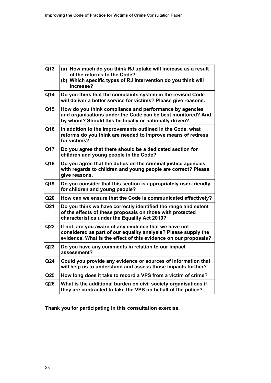| Q13             | (a) How much do you think RJ uptake will increase as a result<br>of the reforms to the Code?<br>(b) Which specific types of RJ intervention do you think will<br>increase?                  |  |
|-----------------|---------------------------------------------------------------------------------------------------------------------------------------------------------------------------------------------|--|
| Q14             | Do you think that the complaints system in the revised Code<br>will deliver a better service for victims? Please give reasons.                                                              |  |
| Q15             | How do you think compliance and performance by agencies<br>and organisations under the Code can be best monitored? And<br>by whom? Should this be locally or nationally driven?             |  |
| Q16             | In addition to the improvements outlined in the Code, what<br>reforms do you think are needed to improve means of redress<br>for victims?                                                   |  |
| Q17             | Do you agree that there should be a dedicated section for<br>children and young people in the Code?                                                                                         |  |
| Q18             | Do you agree that the duties on the criminal justice agencies<br>with regards to children and young people are correct? Please<br>give reasons.                                             |  |
| Q19             | Do you consider that this section is appropriately user-friendly<br>for children and young people?                                                                                          |  |
| Q20             | How can we ensure that the Code is communicated effectively?                                                                                                                                |  |
| Q <sub>21</sub> | Do you think we have correctly identified the range and extent<br>of the effects of these proposals on those with protected<br>characteristics under the Equality Act 2010?                 |  |
| Q22             | If not, are you aware of any evidence that we have not<br>considered as part of our equality analysis? Please supply the<br>evidence. What is the effect of this evidence on our proposals? |  |
| Q <sub>23</sub> | Do you have any comments in relation to our impact<br>assessment?                                                                                                                           |  |
| Q24             | Could you provide any evidence or sources of information that<br>will help us to understand and assess those impacts further?                                                               |  |
| Q25             | How long does it take to record a VPS from a victim of crime?                                                                                                                               |  |
| Q26             | What is the additional burden on civil society organisations if<br>they are contracted to take the VPS on behalf of the police?                                                             |  |

**Thank you for participating in this consultation exercise.**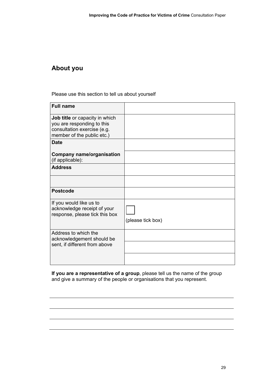## <span id="page-32-0"></span>**About you**

Please use this section to tell us about yourself

| <b>Full name</b>                                                                                                          |                   |
|---------------------------------------------------------------------------------------------------------------------------|-------------------|
| Job title or capacity in which<br>you are responding to this<br>consultation exercise (e.g.<br>member of the public etc.) |                   |
| <b>Date</b>                                                                                                               |                   |
| <b>Company name/organisation</b><br>(if applicable):                                                                      |                   |
| <b>Address</b>                                                                                                            |                   |
|                                                                                                                           |                   |
| <b>Postcode</b>                                                                                                           |                   |
| If you would like us to<br>acknowledge receipt of your<br>response, please tick this box                                  | (please tick box) |
| Address to which the<br>acknowledgement should be<br>sent, if different from above                                        |                   |

**If you are a representative of a group**, please tell us the name of the group and give a summary of the people or organisations that you represent.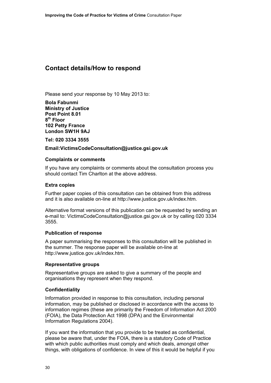### **Contact details/How to respond**

Please send your response by 10 May 2013 to:

**Bola Fabunmi Ministry of Justice Post Point 8.01 8th Floor 102 Petty France London SW1H 9AJ** 

**Tel: 020 3334 3555** 

#### **Email:VictimsCodeConsultation@justice.gsi.gov.uk**

#### **Complaints or comments**

If you have any complaints or comments about the consultation process you should contact Tim Charlton at the above address.

#### **Extra copies**

Further paper copies of this consultation can be obtained from this address and it is also available on-line at [http://www.justice.gov.uk/index.htm.](http://www.justice.gov.uk/index.htm)

Alternative format versions of this publication can be requested by sending an e-mail to: [VictimsCodeConsultation@justice.gsi.gov.uk](mailto:VictimsCodeConsultation@justice.gsi.gov.uk) or by calling 020 3334 3555.

#### **Publication of response**

A paper summarising the responses to this consultation will be published in the summer. The response paper will be available on-line at [http://www.justice.gov.uk/index.htm.](http://www.justice.gov.uk/index.htm)

#### **Representative groups**

Representative groups are asked to give a summary of the people and organisations they represent when they respond.

#### **Confidentiality**

Information provided in response to this consultation, including personal information, may be published or disclosed in accordance with the access to information regimes (these are primarily the Freedom of Information Act 2000 (FOIA), the Data Protection Act 1998 (DPA) and the Environmental Information Regulations 2004).

If you want the information that you provide to be treated as confidential, please be aware that, under the FOIA, there is a statutory Code of Practice with which public authorities must comply and which deals, amongst other things, with obligations of confidence. In view of this it would be helpful if you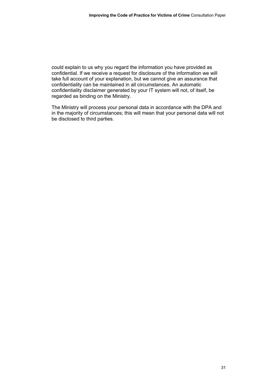could explain to us why you regard the information you have provided as confidential. If we receive a request for disclosure of the information we will take full account of your explanation, but we cannot give an assurance that confidentiality can be maintained in all circumstances. An automatic confidentiality disclaimer generated by your IT system will not, of itself, be regarded as binding on the Ministry.

The Ministry will process your personal data in accordance with the DPA and in the majority of circumstances; this will mean that your personal data will not be disclosed to third parties.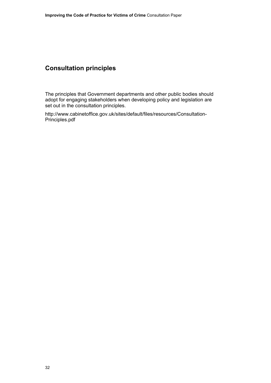## **Consultation principles**

The principles that Government departments and other public bodies should adopt for engaging stakeholders when developing policy and legislation are set out in the consultation principles.

[http://www.cabinetoffice.gov.uk/sites/default/files/resources/Consultation-](http://www.cabinetoffice.gov.uk/sites/default/files/resources/Consultation-Principles.pdf)[Principles.pdf](http://www.cabinetoffice.gov.uk/sites/default/files/resources/Consultation-Principles.pdf)